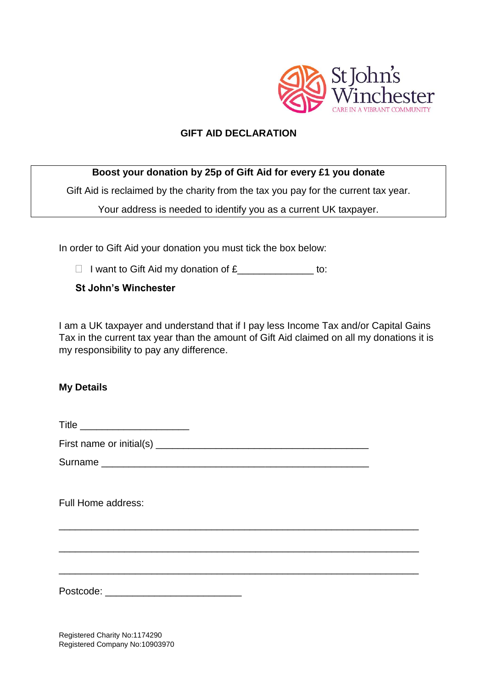

## **GIFT AID DECLARATION**

## **Boost your donation by 25p of Gift Aid for every £1 you donate**

Gift Aid is reclaimed by the charity from the tax you pay for the current tax year.

Your address is needed to identify you as a current UK taxpayer.

In order to Gift Aid your donation you must tick the box below:

 $\Box$  I want to Gift Aid my donation of  $\mathfrak{L}$  \_\_\_\_\_\_\_\_\_\_\_\_\_\_\_\_ to:

**St John's Winchester**

I am a UK taxpayer and understand that if I pay less Income Tax and/or Capital Gains Tax in the current tax year than the amount of Gift Aid claimed on all my donations it is my responsibility to pay any difference.

## **My Details**

Title \_\_\_\_\_\_\_\_\_\_\_\_\_\_\_\_\_\_\_\_

First name or initial(s) \_\_\_\_\_\_\_\_\_\_\_\_\_\_\_\_\_\_\_\_\_\_\_\_\_\_\_\_\_\_\_\_\_\_\_\_\_\_\_

Surname **Example 20** 

\_\_\_\_\_\_\_\_\_\_\_\_\_\_\_\_\_\_\_\_\_\_\_\_\_\_\_\_\_\_\_\_\_\_\_\_\_\_\_\_\_\_\_\_\_\_\_\_\_\_\_\_\_\_\_\_\_\_\_\_\_\_\_\_\_\_

\_\_\_\_\_\_\_\_\_\_\_\_\_\_\_\_\_\_\_\_\_\_\_\_\_\_\_\_\_\_\_\_\_\_\_\_\_\_\_\_\_\_\_\_\_\_\_\_\_\_\_\_\_\_\_\_\_\_\_\_\_\_\_\_\_\_

\_\_\_\_\_\_\_\_\_\_\_\_\_\_\_\_\_\_\_\_\_\_\_\_\_\_\_\_\_\_\_\_\_\_\_\_\_\_\_\_\_\_\_\_\_\_\_\_\_\_\_\_\_\_\_\_\_\_\_\_\_\_\_\_\_\_

Full Home address:

Postcode: \_\_\_\_\_\_\_\_\_\_\_\_\_\_\_\_\_\_\_\_\_\_\_\_\_

Registered Charity No:1174290 Registered Company No:10903970